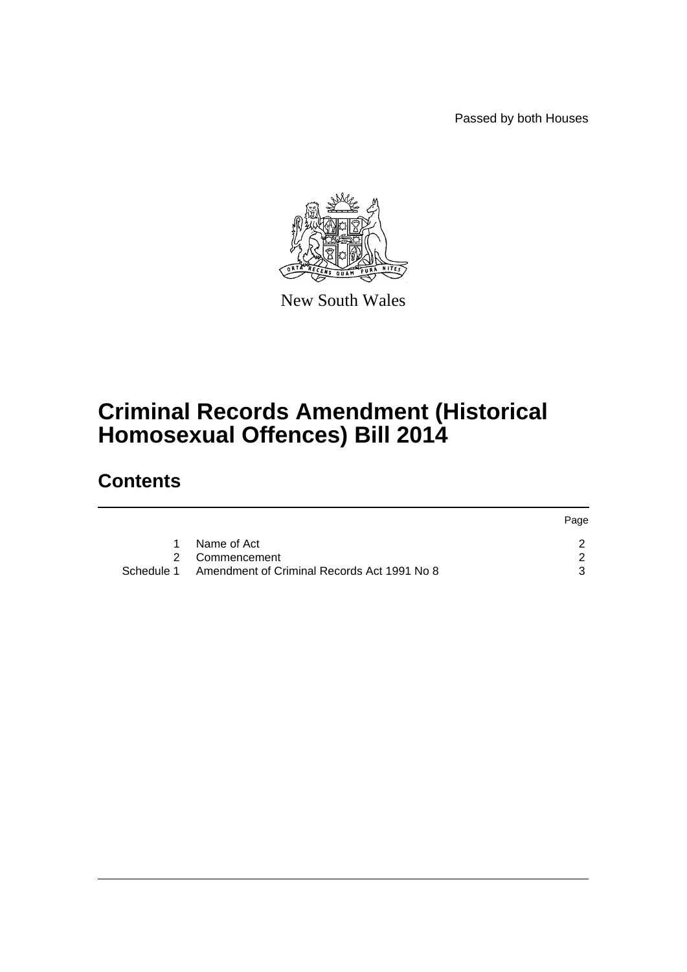Passed by both Houses



New South Wales

# **Criminal Records Amendment (Historical Homosexual Offences) Bill 2014**

# **Contents**

|             | Page                                                                     |
|-------------|--------------------------------------------------------------------------|
| Name of Act |                                                                          |
|             |                                                                          |
|             |                                                                          |
|             | 2 Commencement<br>Schedule 1 Amendment of Criminal Records Act 1991 No 8 |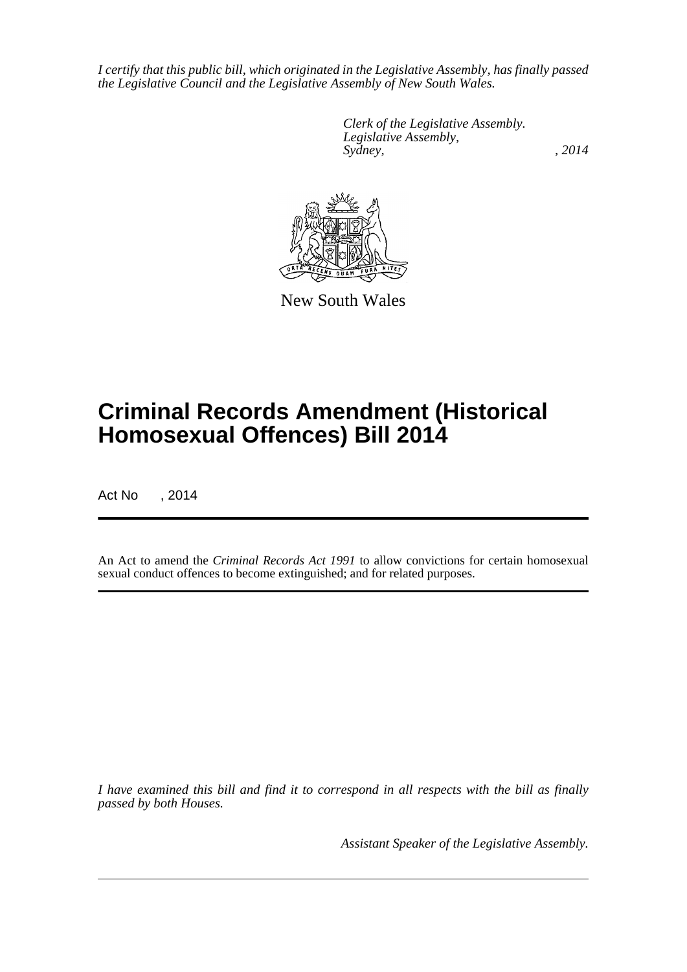*I certify that this public bill, which originated in the Legislative Assembly, has finally passed the Legislative Council and the Legislative Assembly of New South Wales.*

> *Clerk of the Legislative Assembly. Legislative Assembly, Sydney,* , 2014



New South Wales

# **Criminal Records Amendment (Historical Homosexual Offences) Bill 2014**

Act No , 2014

An Act to amend the *Criminal Records Act 1991* to allow convictions for certain homosexual sexual conduct offences to become extinguished; and for related purposes.

*I have examined this bill and find it to correspond in all respects with the bill as finally passed by both Houses.*

*Assistant Speaker of the Legislative Assembly.*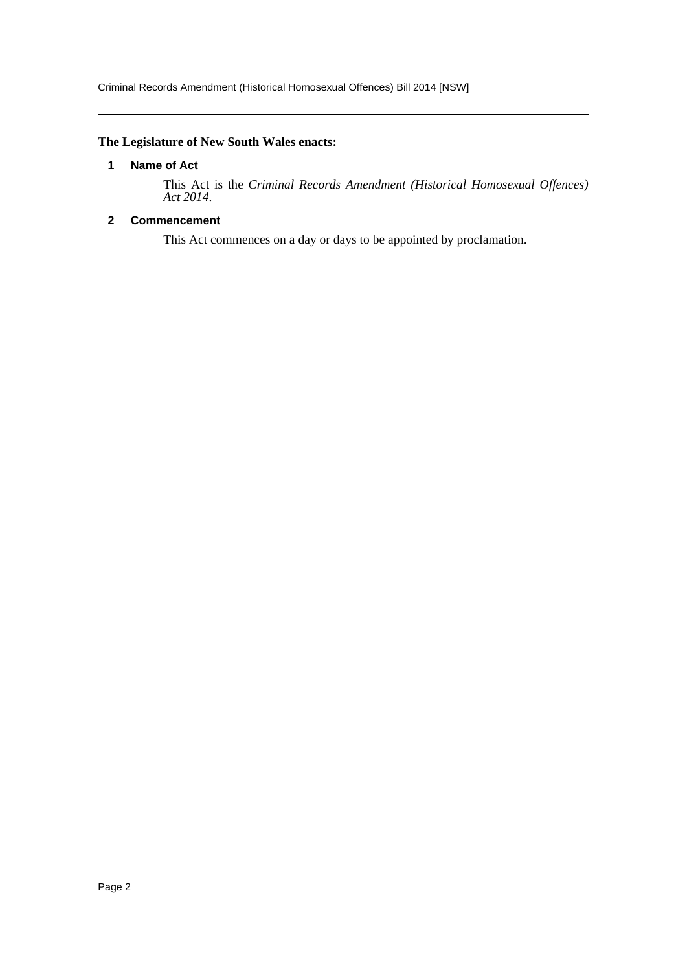# <span id="page-2-0"></span>**The Legislature of New South Wales enacts:**

#### **1 Name of Act**

This Act is the *Criminal Records Amendment (Historical Homosexual Offences) Act 2014*.

# <span id="page-2-1"></span>**2 Commencement**

This Act commences on a day or days to be appointed by proclamation.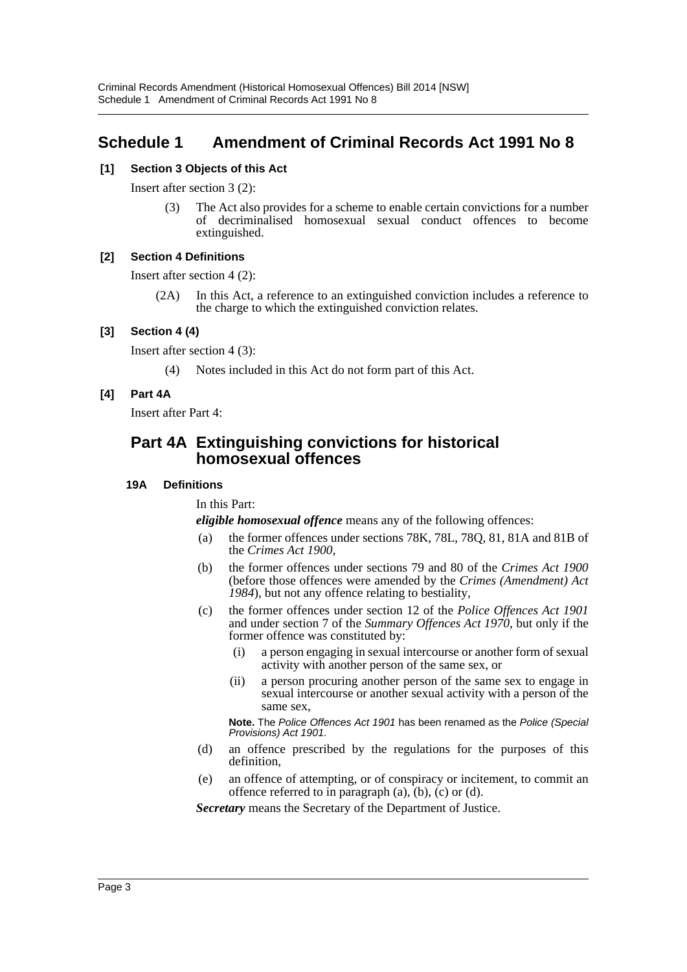# <span id="page-3-0"></span>**Schedule 1 Amendment of Criminal Records Act 1991 No 8**

# **[1] Section 3 Objects of this Act**

Insert after section 3 (2):

(3) The Act also provides for a scheme to enable certain convictions for a number of decriminalised homosexual sexual conduct offences to become extinguished.

#### **[2] Section 4 Definitions**

Insert after section 4 (2):

(2A) In this Act, a reference to an extinguished conviction includes a reference to the charge to which the extinguished conviction relates.

### **[3] Section 4 (4)**

Insert after section 4 (3):

(4) Notes included in this Act do not form part of this Act.

### **[4] Part 4A**

Insert after Part 4:

# **Part 4A Extinguishing convictions for historical homosexual offences**

#### **19A Definitions**

In this Part:

*eligible homosexual offence* means any of the following offences:

- (a) the former offences under sections 78K, 78L, 78Q, 81, 81A and 81B of the *Crimes Act 1900*,
- (b) the former offences under sections 79 and 80 of the *Crimes Act 1900* (before those offences were amended by the *Crimes (Amendment) Act 1984*), but not any offence relating to bestiality,
- (c) the former offences under section 12 of the *Police Offences Act 1901* and under section 7 of the *Summary Offences Act 1970*, but only if the former offence was constituted by:
	- (i) a person engaging in sexual intercourse or another form of sexual activity with another person of the same sex, or
	- (ii) a person procuring another person of the same sex to engage in sexual intercourse or another sexual activity with a person of the same sex,

**Note.** The *Police Offences Act 1901* has been renamed as the *Police (Special Provisions) Act 1901*.

- (d) an offence prescribed by the regulations for the purposes of this definition,
- (e) an offence of attempting, or of conspiracy or incitement, to commit an offence referred to in paragraph  $(a)$ ,  $(b)$ ,  $(c)$  or  $(d)$ .

*Secretary* means the Secretary of the Department of Justice.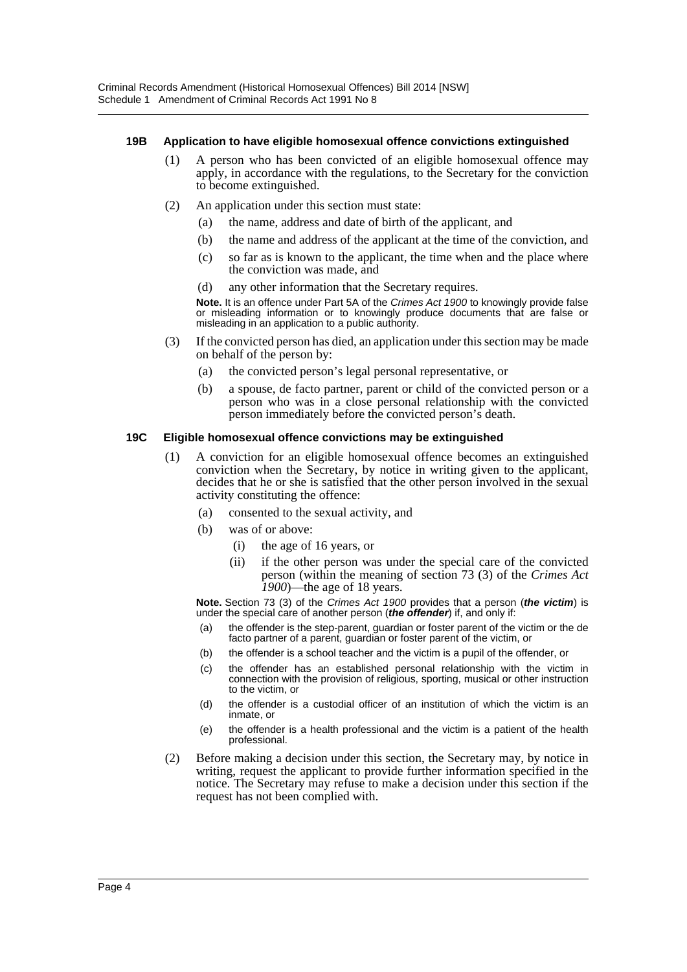#### **19B Application to have eligible homosexual offence convictions extinguished**

- (1) A person who has been convicted of an eligible homosexual offence may apply, in accordance with the regulations, to the Secretary for the conviction to become extinguished.
- (2) An application under this section must state:
	- (a) the name, address and date of birth of the applicant, and
	- (b) the name and address of the applicant at the time of the conviction, and
	- (c) so far as is known to the applicant, the time when and the place where the conviction was made, and
	- (d) any other information that the Secretary requires.

**Note.** It is an offence under Part 5A of the *Crimes Act 1900* to knowingly provide false or misleading information or to knowingly produce documents that are false or misleading in an application to a public authority.

- (3) If the convicted person has died, an application under this section may be made on behalf of the person by:
	- (a) the convicted person's legal personal representative, or
	- (b) a spouse, de facto partner, parent or child of the convicted person or a person who was in a close personal relationship with the convicted person immediately before the convicted person's death.

#### **19C Eligible homosexual offence convictions may be extinguished**

- (1) A conviction for an eligible homosexual offence becomes an extinguished conviction when the Secretary, by notice in writing given to the applicant, decides that he or she is satisfied that the other person involved in the sexual activity constituting the offence:
	- (a) consented to the sexual activity, and
	- (b) was of or above:
		- (i) the age of 16 years, or
		- (ii) if the other person was under the special care of the convicted person (within the meaning of section 73 (3) of the *Crimes Act 1900*)—the age of 18 years.

**Note.** Section 73 (3) of the *Crimes Act 1900* provides that a person (*the victim*) is under the special care of another person (*the offender*) if, and only if:

- (a) the offender is the step-parent, guardian or foster parent of the victim or the de facto partner of a parent, guardian or foster parent of the victim, or
- (b) the offender is a school teacher and the victim is a pupil of the offender, or
- (c) the offender has an established personal relationship with the victim in connection with the provision of religious, sporting, musical or other instruction to the victim, or
- (d) the offender is a custodial officer of an institution of which the victim is an inmate, or
- (e) the offender is a health professional and the victim is a patient of the health professional.
- (2) Before making a decision under this section, the Secretary may, by notice in writing, request the applicant to provide further information specified in the notice. The Secretary may refuse to make a decision under this section if the request has not been complied with.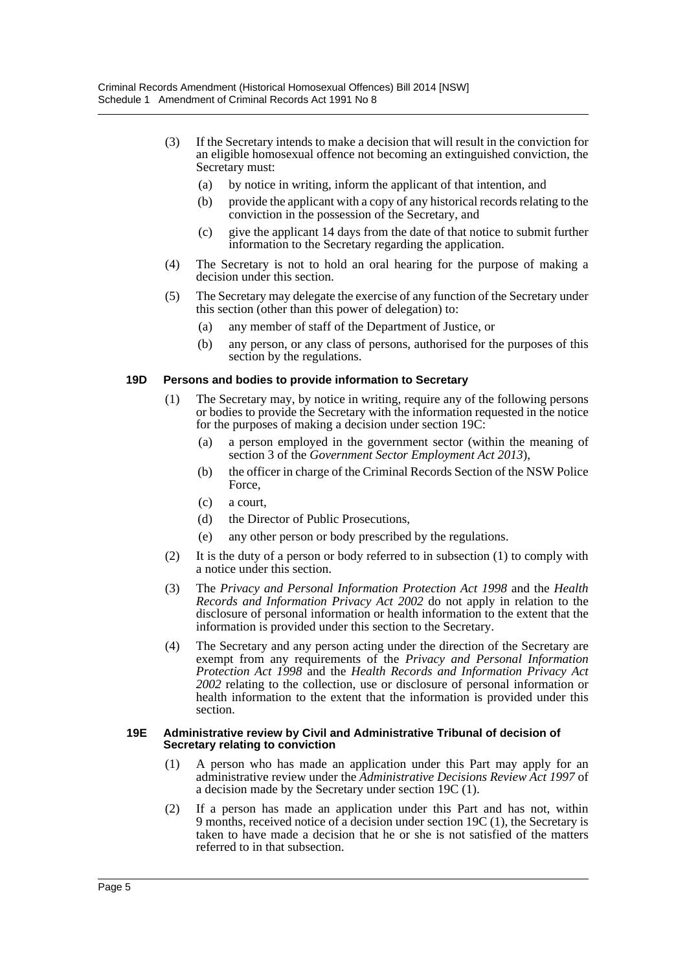- (3) If the Secretary intends to make a decision that will result in the conviction for an eligible homosexual offence not becoming an extinguished conviction, the Secretary must:
	- (a) by notice in writing, inform the applicant of that intention, and
	- (b) provide the applicant with a copy of any historical records relating to the conviction in the possession of the Secretary, and
	- (c) give the applicant 14 days from the date of that notice to submit further information to the Secretary regarding the application.
- (4) The Secretary is not to hold an oral hearing for the purpose of making a decision under this section.
- (5) The Secretary may delegate the exercise of any function of the Secretary under this section (other than this power of delegation) to:
	- (a) any member of staff of the Department of Justice, or
	- (b) any person, or any class of persons, authorised for the purposes of this section by the regulations.

#### **19D Persons and bodies to provide information to Secretary**

- (1) The Secretary may, by notice in writing, require any of the following persons or bodies to provide the Secretary with the information requested in the notice for the purposes of making a decision under section 19C:
	- (a) a person employed in the government sector (within the meaning of section 3 of the *Government Sector Employment Act 2013*),
	- (b) the officer in charge of the Criminal Records Section of the NSW Police Force,
	- (c) a court,
	- (d) the Director of Public Prosecutions,
	- (e) any other person or body prescribed by the regulations.
- (2) It is the duty of a person or body referred to in subsection (1) to comply with a notice under this section.
- (3) The *Privacy and Personal Information Protection Act 1998* and the *Health Records and Information Privacy Act 2002* do not apply in relation to the disclosure of personal information or health information to the extent that the information is provided under this section to the Secretary.
- (4) The Secretary and any person acting under the direction of the Secretary are exempt from any requirements of the *Privacy and Personal Information Protection Act 1998* and the *Health Records and Information Privacy Act 2002* relating to the collection, use or disclosure of personal information or health information to the extent that the information is provided under this section.

#### **19E Administrative review by Civil and Administrative Tribunal of decision of Secretary relating to conviction**

- (1) A person who has made an application under this Part may apply for an administrative review under the *Administrative Decisions Review Act 1997* of a decision made by the Secretary under section 19C (1).
- (2) If a person has made an application under this Part and has not, within 9 months, received notice of a decision under section 19C (1), the Secretary is taken to have made a decision that he or she is not satisfied of the matters referred to in that subsection.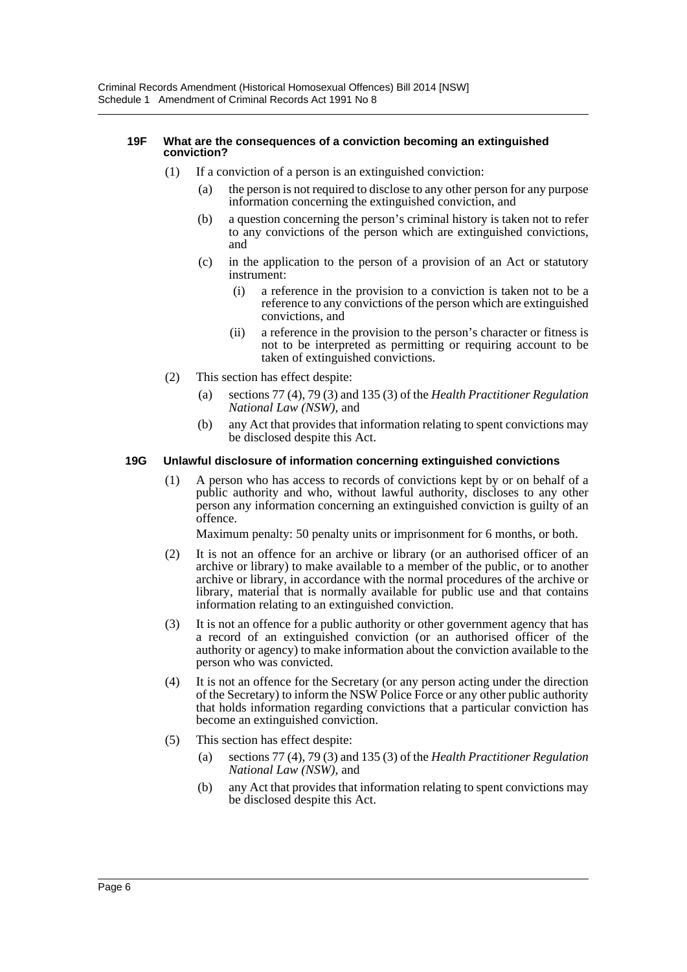#### **19F What are the consequences of a conviction becoming an extinguished conviction?**

- (1) If a conviction of a person is an extinguished conviction:
	- (a) the person is not required to disclose to any other person for any purpose information concerning the extinguished conviction, and
	- (b) a question concerning the person's criminal history is taken not to refer to any convictions of the person which are extinguished convictions, and
	- (c) in the application to the person of a provision of an Act or statutory instrument:
		- (i) a reference in the provision to a conviction is taken not to be a reference to any convictions of the person which are extinguished convictions, and
		- (ii) a reference in the provision to the person's character or fitness is not to be interpreted as permitting or requiring account to be taken of extinguished convictions.
- (2) This section has effect despite:
	- (a) sections 77 (4), 79 (3) and 135 (3) of the *Health Practitioner Regulation National Law (NSW)*, and
	- (b) any Act that provides that information relating to spent convictions may be disclosed despite this Act.

#### **19G Unlawful disclosure of information concerning extinguished convictions**

(1) A person who has access to records of convictions kept by or on behalf of a public authority and who, without lawful authority, discloses to any other person any information concerning an extinguished conviction is guilty of an offence.

Maximum penalty: 50 penalty units or imprisonment for 6 months, or both.

- (2) It is not an offence for an archive or library (or an authorised officer of an archive or library) to make available to a member of the public, or to another archive or library, in accordance with the normal procedures of the archive or library, material that is normally available for public use and that contains information relating to an extinguished conviction.
- (3) It is not an offence for a public authority or other government agency that has a record of an extinguished conviction (or an authorised officer of the authority or agency) to make information about the conviction available to the person who was convicted.
- (4) It is not an offence for the Secretary (or any person acting under the direction of the Secretary) to inform the NSW Police Force or any other public authority that holds information regarding convictions that a particular conviction has become an extinguished conviction.
- (5) This section has effect despite:
	- (a) sections 77 (4), 79 (3) and 135 (3) of the *Health Practitioner Regulation National Law (NSW)*, and
	- (b) any Act that provides that information relating to spent convictions may be disclosed despite this Act.